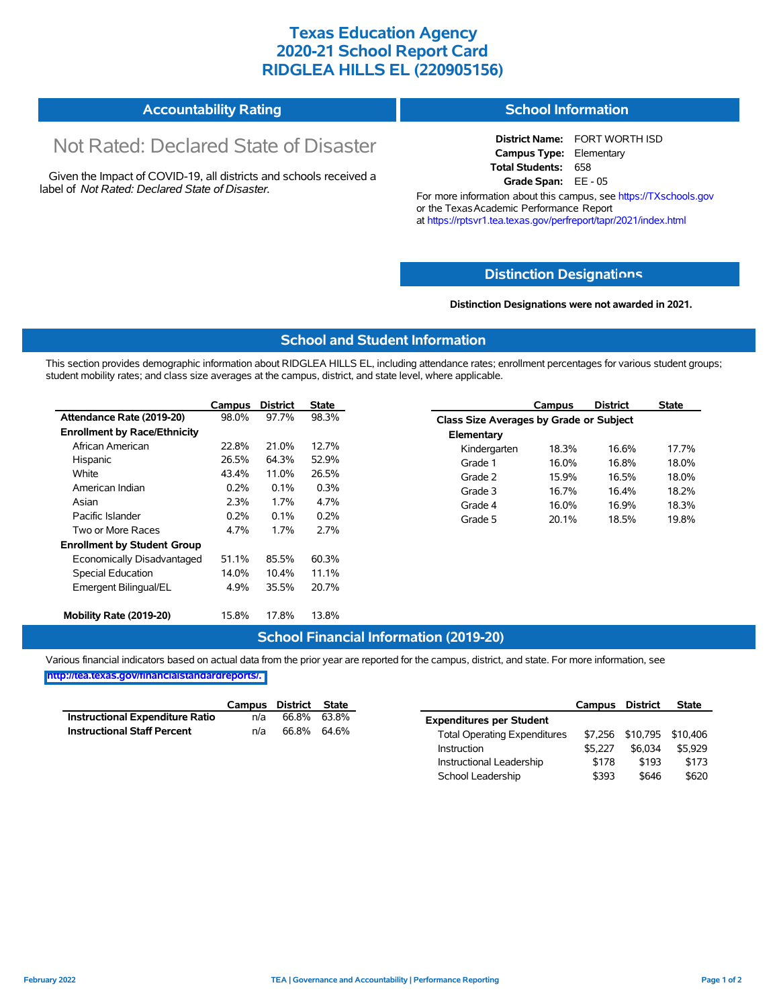## **Texas Education Agency 2020-21 School Report Card RIDGLEA HILLS EL (220905156)**

| <b>Accountability Rating</b> | <b>School Information</b> |
|------------------------------|---------------------------|
|------------------------------|---------------------------|

# Not Rated: Declared State of Disaster

Given the Impact of COVID-19, all districts and schools received a label of *Not Rated: Declared State of Disaster.*

**District Name:** FORT WORTH ISD **Campus Type:** Elementary **Total Students:** 658 **Grade Span:** EE - 05

For more information about this campus, see https://TXschools.gov or the Texas Academic Performance Report at https://rptsvr1.tea.texas.gov/perfreport/tapr/2021/index.html

#### **Distinction Designat[ions](https://TXschools.gov)**

**Distinction Designations were not awarded in 2021.**

School Leadership  $$393$  \$646 \$620

#### **School and Student Information**

This section provides demographic information about RIDGLEA HILLS EL, including attendance rates; enrollment percentages for various student groups; student mobility rates; and class size averages at the campus, district, and state level, where applicable.

|                                     | Campus | <b>District</b> | <b>State</b> |              | Campus                                  | <b>District</b> | <b>State</b> |  |  |
|-------------------------------------|--------|-----------------|--------------|--------------|-----------------------------------------|-----------------|--------------|--|--|
| Attendance Rate (2019-20)           | 98.0%  | 97.7%           | 98.3%        |              | Class Size Averages by Grade or Subject |                 |              |  |  |
| <b>Enrollment by Race/Ethnicity</b> |        |                 |              | Elementary   |                                         |                 |              |  |  |
| African American                    | 22.8%  | 21.0%           | 12.7%        | Kindergarten | 18.3%                                   | 16.6%           | 17.7%        |  |  |
| Hispanic                            | 26.5%  | 64.3%           | 52.9%        | Grade 1      | 16.0%                                   | 16.8%           | 18.0%        |  |  |
| White                               | 43.4%  | 11.0%           | 26.5%        | Grade 2      | 15.9%                                   | 16.5%           | 18.0%        |  |  |
| American Indian                     | 0.2%   | 0.1%            | 0.3%         | Grade 3      | 16.7%                                   | 16.4%           | 18.2%        |  |  |
| Asian                               | 2.3%   | 1.7%            | 4.7%         | Grade 4      | 16.0%                                   | 16.9%           | 18.3%        |  |  |
| Pacific Islander                    | 0.2%   | 0.1%            | 0.2%         | Grade 5      | 20.1%                                   | 18.5%           | 19.8%        |  |  |
| Two or More Races                   | 4.7%   | 1.7%            | 2.7%         |              |                                         |                 |              |  |  |
| <b>Enrollment by Student Group</b>  |        |                 |              |              |                                         |                 |              |  |  |
| Economically Disadvantaged          | 51.1%  | 85.5%           | 60.3%        |              |                                         |                 |              |  |  |
| Special Education                   | 14.0%  | 10.4%           | 11.1%        |              |                                         |                 |              |  |  |
| Emergent Bilingual/EL               | 4.9%   | 35.5%           | 20.7%        |              |                                         |                 |              |  |  |
|                                     |        |                 |              |              |                                         |                 |              |  |  |
| Mobility Rate (2019-20)             | 15.8%  | 17.8%           | 13.8%        |              |                                         |                 |              |  |  |

#### **School Financial Information (2019-20)**

Various financial indicators based on actual data from the prior year are reported for the campus, district, and state. For more information, see

**[http://tea.texas.gov/financialstandardreports/.](http://tea.texas.gov/financialstandardreports/)**

|                                        | Campus | District | State       |                                     | Campus  | <b>District</b>           | <b>State</b> |
|----------------------------------------|--------|----------|-------------|-------------------------------------|---------|---------------------------|--------------|
| <b>Instructional Expenditure Ratio</b> | n/a    | 66.8%    | 63.8%       | <b>Expenditures per Student</b>     |         |                           |              |
| <b>Instructional Staff Percent</b>     | n/a    |          | 66.8% 64.6% | <b>Total Operating Expenditures</b> |         | \$7,256 \$10,795 \$10,406 |              |
|                                        |        |          |             | Instruction                         | \$5.227 | \$6,034                   | \$5.929      |
|                                        |        |          |             | Instructional Leadership            | \$178   | \$193                     | \$173        |